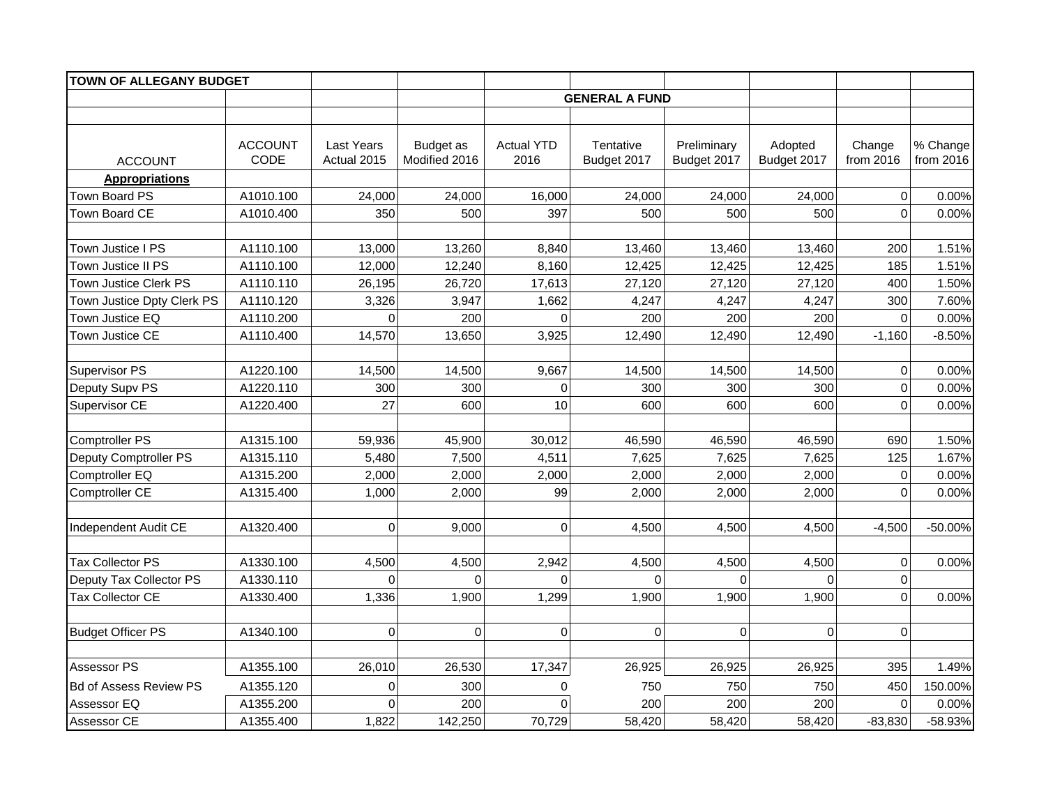| TOWN OF ALLEGANY BUDGET       |                        |                                  |                                   |                           |                          |                            |                        |                     |                       |
|-------------------------------|------------------------|----------------------------------|-----------------------------------|---------------------------|--------------------------|----------------------------|------------------------|---------------------|-----------------------|
|                               |                        |                                  |                                   |                           | <b>GENERAL A FUND</b>    |                            |                        |                     |                       |
|                               |                        |                                  |                                   |                           |                          |                            |                        |                     |                       |
| <b>ACCOUNT</b>                | <b>ACCOUNT</b><br>CODE | <b>Last Years</b><br>Actual 2015 | <b>Budget</b> as<br>Modified 2016 | <b>Actual YTD</b><br>2016 | Tentative<br>Budget 2017 | Preliminary<br>Budget 2017 | Adopted<br>Budget 2017 | Change<br>from 2016 | % Change<br>from 2016 |
| <b>Appropriations</b>         |                        |                                  |                                   |                           |                          |                            |                        |                     |                       |
| Town Board PS                 | A1010.100              | 24,000                           | 24,000                            | 16,000                    | 24,000                   | 24,000                     | 24,000                 | $\Omega$            | 0.00%                 |
| Town Board CE                 | A1010.400              | 350                              | 500                               | 397                       | 500                      | 500                        | 500                    | $\Omega$            | 0.00%                 |
|                               |                        |                                  |                                   |                           |                          |                            |                        |                     |                       |
| Town Justice I PS             | A1110.100              | 13,000                           | 13,260                            | 8,840                     | 13,460                   | 13,460                     | 13,460                 | 200                 | 1.51%                 |
| Town Justice II PS            | A1110.100              | 12,000                           | 12,240                            | 8,160                     | 12,425                   | 12,425                     | 12,425                 | 185                 | 1.51%                 |
| Town Justice Clerk PS         | A1110.110              | 26,195                           | 26,720                            | 17,613                    | 27,120                   | 27,120                     | 27,120                 | 400                 | 1.50%                 |
| Town Justice Dpty Clerk PS    | A1110.120              | 3,326                            | 3,947                             | 1,662                     | 4,247                    | 4,247                      | 4,247                  | 300                 | 7.60%                 |
| Town Justice EQ               | A1110.200              | $\Omega$                         | 200                               | $\Omega$                  | 200                      | 200                        | 200                    | $\Omega$            | 0.00%                 |
| Town Justice CE               | A1110.400              | 14,570                           | 13,650                            | 3,925                     | 12,490                   | 12,490                     | 12,490                 | $-1,160$            | $-8.50%$              |
|                               |                        |                                  |                                   |                           |                          |                            |                        |                     |                       |
| Supervisor PS                 | A1220.100              | 14,500                           | 14,500                            | 9,667                     | 14,500                   | 14,500                     | 14,500                 | $\mathbf 0$         | 0.00%                 |
| Deputy Supv PS                | A1220.110              | 300                              | 300                               | 0                         | 300                      | 300                        | 300                    | $\mathbf 0$         | 0.00%                 |
| Supervisor CE                 | A1220.400              | 27                               | 600                               | 10                        | 600                      | 600                        | 600                    | $\Omega$            | 0.00%                 |
|                               |                        |                                  |                                   |                           |                          |                            |                        |                     |                       |
| <b>Comptroller PS</b>         | A1315.100              | 59,936                           | 45,900                            | 30,012                    | 46,590                   | 46,590                     | 46,590                 | 690                 | 1.50%                 |
| Deputy Comptroller PS         | A1315.110              | 5,480                            | 7,500                             | 4,511                     | 7,625                    | 7,625                      | 7,625                  | 125                 | 1.67%                 |
| Comptroller EQ                | A1315.200              | 2,000                            | 2,000                             | 2,000                     | 2,000                    | 2,000                      | 2,000                  | $\overline{0}$      | 0.00%                 |
| Comptroller CE                | A1315.400              | 1,000                            | 2,000                             | 99                        | 2,000                    | 2,000                      | 2,000                  | $\Omega$            | 0.00%                 |
|                               |                        |                                  |                                   |                           |                          |                            |                        |                     |                       |
| Independent Audit CE          | A1320.400              | $\Omega$                         | 9,000                             | $\mathbf 0$               | 4,500                    | 4,500                      | 4,500                  | $-4,500$            | -50.00%               |
|                               |                        |                                  |                                   |                           |                          |                            |                        |                     |                       |
| <b>Tax Collector PS</b>       | A1330.100              | 4,500                            | 4,500                             | 2,942                     | 4,500                    | 4,500                      | 4,500                  | $\overline{0}$      | 0.00%                 |
| Deputy Tax Collector PS       | A1330.110              | $\Omega$                         | Ωl                                | $\Omega$                  | $\Omega$                 | $\Omega$                   | $\Omega$               | $\Omega$            |                       |
| <b>Tax Collector CE</b>       | A1330.400              | 1,336                            | 1,900                             | 1,299                     | 1,900                    | 1,900                      | 1,900                  | $\Omega$            | 0.00%                 |
|                               |                        |                                  |                                   |                           |                          |                            |                        |                     |                       |
| <b>Budget Officer PS</b>      | A1340.100              | $\mathbf 0$                      | $\Omega$                          | $\mathbf 0$               | $\mathbf 0$              | $\overline{0}$             | $\Omega$               | $\Omega$            |                       |
|                               |                        |                                  |                                   |                           |                          |                            |                        |                     |                       |
| Assessor PS                   | A1355.100              | 26,010                           | 26,530                            | 17,347                    | 26,925                   | 26,925                     | 26,925                 | 395                 | 1.49%                 |
| <b>Bd of Assess Review PS</b> | A1355.120              | 0                                | 300                               | 0                         | 750                      | 750                        | 750                    | 450                 | 150.00%               |
| Assessor EQ                   | A1355.200              | $\Omega$                         | 200                               | $\Omega$                  | 200                      | 200                        | 200                    | $\Omega$            | 0.00%                 |
| Assessor CE                   | A1355.400              | 1,822                            | 142,250                           | 70,729                    | 58,420                   | 58,420                     | 58,420                 | $-83,830$           | $-58.93%$             |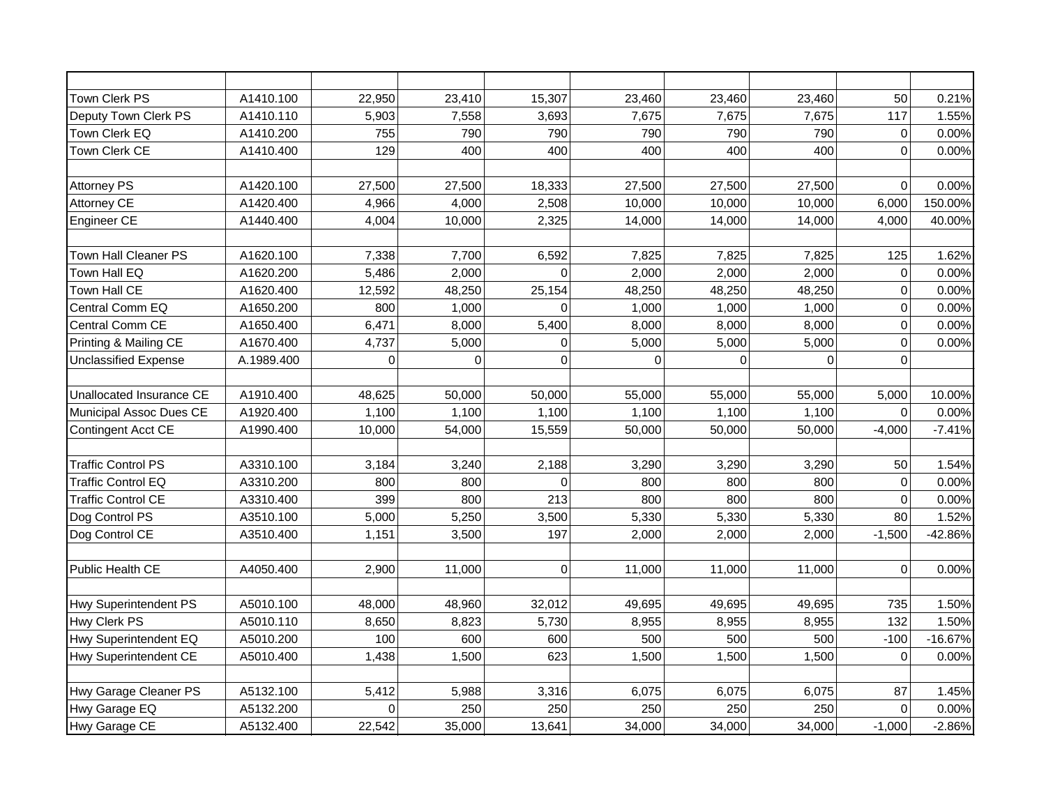| Town Clerk PS                | A1410.100  | 22,950   | 23,410 | 15,307      | 23,460   | 23,460   | 23,460   | 50             | 0.21%     |
|------------------------------|------------|----------|--------|-------------|----------|----------|----------|----------------|-----------|
| Deputy Town Clerk PS         | A1410.110  | 5,903    | 7,558  | 3,693       | 7,675    | 7,675    | 7,675    | 117            | 1.55%     |
| Town Clerk EQ                | A1410.200  | 755      | 790    | 790         | 790      | 790      | 790      | $\overline{0}$ | 0.00%     |
| Town Clerk CE                | A1410.400  | 129      | 400    | 400         | 400      | 400      | 400      | $\Omega$       | 0.00%     |
|                              |            |          |        |             |          |          |          |                |           |
| <b>Attorney PS</b>           | A1420.100  | 27,500   | 27,500 | 18,333      | 27,500   | 27,500   | 27,500   | $\Omega$       | 0.00%     |
| <b>Attorney CE</b>           | A1420.400  | 4,966    | 4,000  | 2,508       | 10,000   | 10,000   | 10,000   | 6,000          | 150.00%   |
| Engineer CE                  | A1440.400  | 4,004    | 10,000 | 2,325       | 14,000   | 14,000   | 14,000   | 4,000          | 40.00%    |
|                              |            |          |        |             |          |          |          |                |           |
| Town Hall Cleaner PS         | A1620.100  | 7,338    | 7,700  | 6,592       | 7,825    | 7,825    | 7,825    | 125            | 1.62%     |
| Town Hall EQ                 | A1620.200  | 5,486    | 2,000  | $\Omega$    | 2,000    | 2,000    | 2,000    | $\Omega$       | 0.00%     |
| Town Hall CE                 | A1620.400  | 12,592   | 48,250 | 25,154      | 48,250   | 48,250   | 48,250   | $\Omega$       | 0.00%     |
| Central Comm EQ              | A1650.200  | 800      | 1,000  | 0           | 1,000    | 1,000    | 1,000    | $\overline{0}$ | 0.00%     |
| Central Comm CE              | A1650.400  | 6,471    | 8,000  | 5,400       | 8,000    | 8,000    | 8,000    | $\Omega$       | 0.00%     |
| Printing & Mailing CE        | A1670.400  | 4,737    | 5,000  | $\Omega$    | 5,000    | 5,000    | 5,000    | $\Omega$       | 0.00%     |
| <b>Unclassified Expense</b>  | A.1989.400 | $\Omega$ | οl     | $\Omega$    | $\Omega$ | $\Omega$ | $\Omega$ | $\Omega$       |           |
|                              |            |          |        |             |          |          |          |                |           |
| Unallocated Insurance CE     | A1910.400  | 48,625   | 50,000 | 50,000      | 55,000   | 55,000   | 55,000   | 5,000          | 10.00%    |
| Municipal Assoc Dues CE      | A1920.400  | 1,100    | 1,100  | 1,100       | 1,100    | 1,100    | 1,100    | $\Omega$       | 0.00%     |
| Contingent Acct CE           | A1990.400  | 10,000   | 54,000 | 15,559      | 50,000   | 50,000   | 50,000   | $-4,000$       | $-7.41%$  |
|                              |            |          |        |             |          |          |          |                |           |
| <b>Traffic Control PS</b>    | A3310.100  | 3,184    | 3,240  | 2,188       | 3,290    | 3,290    | 3,290    | 50             | 1.54%     |
| <b>Traffic Control EQ</b>    | A3310.200  | 800      | 800    | 0           | 800      | 800      | 800      | $\Omega$       | 0.00%     |
| <b>Traffic Control CE</b>    | A3310.400  | 399      | 800    | 213         | 800      | 800      | 800      | $\Omega$       | 0.00%     |
| Dog Control PS               | A3510.100  | 5,000    | 5,250  | 3,500       | 5,330    | 5,330    | 5,330    | 80             | 1.52%     |
| Dog Control CE               | A3510.400  | 1,151    | 3,500  | 197         | 2,000    | 2,000    | 2,000    | $-1,500$       | -42.86%   |
|                              |            |          |        |             |          |          |          |                |           |
| <b>Public Health CE</b>      | A4050.400  | 2,900    | 11,000 | $\mathbf 0$ | 11,000   | 11,000   | 11,000   | $\Omega$       | 0.00%     |
|                              |            |          |        |             |          |          |          |                |           |
| Hwy Superintendent PS        | A5010.100  | 48,000   | 48,960 | 32,012      | 49,695   | 49,695   | 49,695   | 735            | 1.50%     |
| <b>Hwy Clerk PS</b>          | A5010.110  | 8,650    | 8,823  | 5,730       | 8,955    | 8,955    | 8,955    | 132            | 1.50%     |
| Hwy Superintendent EQ        | A5010.200  | 100      | 600    | 600         | 500      | 500      | 500      | $-100$         | $-16.67%$ |
| <b>Hwy Superintendent CE</b> | A5010.400  | 1,438    | 1,500  | 623         | 1,500    | 1,500    | 1,500    | $\Omega$       | 0.00%     |
|                              |            |          |        |             |          |          |          |                |           |
| Hwy Garage Cleaner PS        | A5132.100  | 5,412    | 5,988  | 3,316       | 6,075    | 6,075    | 6,075    | 87             | 1.45%     |
| Hwy Garage EQ                | A5132.200  | $\Omega$ | 250    | 250         | 250      | 250      | 250      | $\Omega$       | 0.00%     |
| Hwy Garage CE                | A5132.400  | 22,542   | 35,000 | 13,641      | 34,000   | 34,000   | 34,000   | $-1,000$       | $-2.86%$  |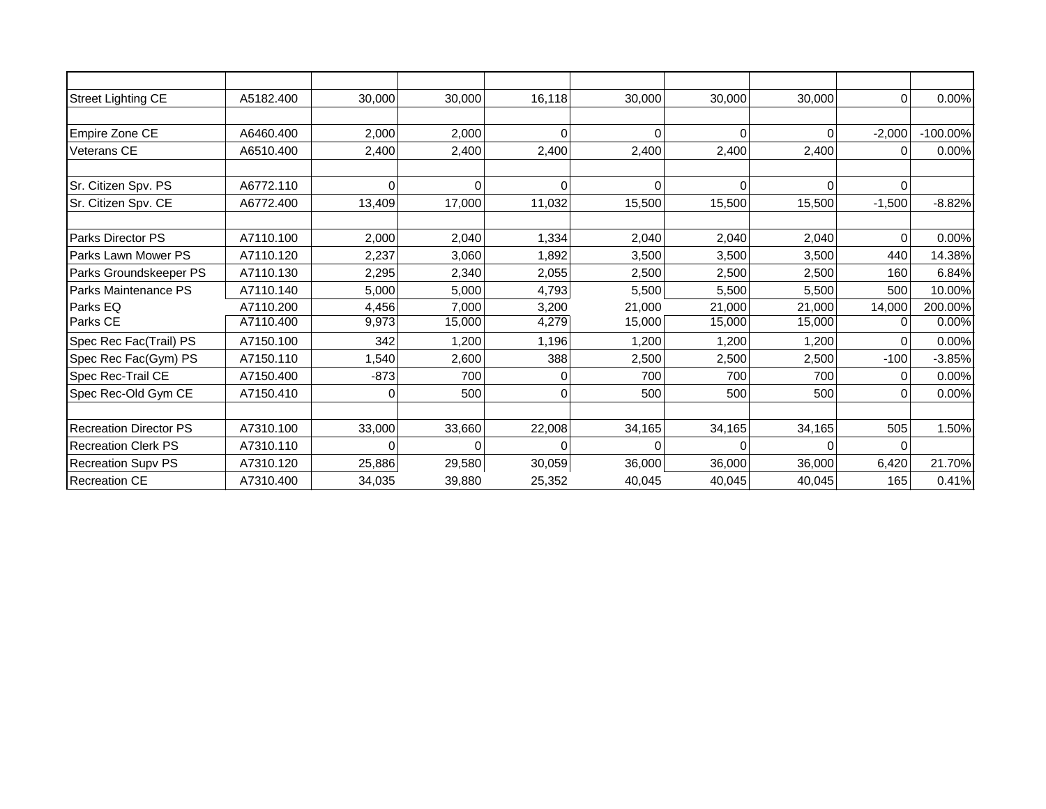| Street Lighting CE            | A5182.400 | 30,000   | 30,000   | 16,118 | 30,000   | 30,000   | 30,000   | $\Omega$     | 0.00%       |
|-------------------------------|-----------|----------|----------|--------|----------|----------|----------|--------------|-------------|
|                               |           |          |          |        |          |          |          |              |             |
| Empire Zone CE                | A6460.400 | 2,000    | 2,000    | 0      | $\Omega$ | $\cap$   | $\Omega$ | $-2,000$     | $-100.00\%$ |
| <b>Veterans CE</b>            | A6510.400 | 2,400    | 2,400    | 2,400  | 2,400    | 2,400    | 2,400    | $\Omega$     | 0.00%       |
|                               |           |          |          |        |          |          |          |              |             |
| Sr. Citizen Spv. PS           | A6772.110 | $\Omega$ | ΩI       | ი      | $\Omega$ | $\Omega$ |          | <sup>n</sup> |             |
| Sr. Citizen Spv. CE           | A6772.400 | 13,409   | 17,000   | 11,032 | 15,500   | 15,500   | 15,500   | $-1,500$     | $-8.82%$    |
|                               |           |          |          |        |          |          |          |              |             |
| <b>Parks Director PS</b>      | A7110.100 | 2,000    | 2,040    | 1,334  | 2,040    | 2,040    | 2,040    | $\Omega$     | 0.00%       |
| Parks Lawn Mower PS           | A7110.120 | 2,237    | 3,060    | 1,892  | 3,500    | 3,500    | 3,500    | 440          | 14.38%      |
| Parks Groundskeeper PS        | A7110.130 | 2,295    | 2,340    | 2,055  | 2,500    | 2,500    | 2,500    | 160          | 6.84%       |
| Parks Maintenance PS          | A7110.140 | 5,000    | 5,000    | 4,793  | 5,500    | 5,500    | 5,500    | 500          | 10.00%      |
| Parks EQ                      | A7110.200 | 4,456    | 7,000    | 3,200  | 21,000   | 21,000   | 21,000   | 14,000       | 200.00%     |
| Parks CE                      | A7110.400 | 9,973    | 15,000   | 4,279  | 15,000   | 15,000   | 15,000   | 0            | 0.00%       |
| Spec Rec Fac(Trail) PS        | A7150.100 | 342      | 1,200    | 1,196  | 1,200    | 1,200    | 1,200    | $\Omega$     | 0.00%       |
| Spec Rec Fac(Gym) PS          | A7150.110 | 1,540    | 2,600    | 388    | 2,500    | 2,500    | 2,500    | $-100$       | $-3.85%$    |
| Spec Rec-Trail CE             | A7150.400 | $-873$   | 700      |        | 700      | 700      | 700      | O            | 0.00%       |
| Spec Rec-Old Gym CE           | A7150.410 | 0        | 500      | 0      | 500      | 500      | 500      | 0            | 0.00%       |
|                               |           |          |          |        |          |          |          |              |             |
| <b>Recreation Director PS</b> | A7310.100 | 33,000   | 33,660   | 22,008 | 34,165   | 34,165   | 34,165   | 505          | 1.50%       |
| <b>Recreation Clerk PS</b>    | A7310.110 |          | $\Omega$ |        | O        |          |          | ∩            |             |
| <b>Recreation Supv PS</b>     | A7310.120 | 25,886   | 29,580   | 30,059 | 36,000   | 36,000   | 36,000   | 6,420        | 21.70%      |
| <b>Recreation CE</b>          | A7310.400 | 34,035   | 39,880   | 25,352 | 40,045   | 40,045   | 40,045   | 165          | 0.41%       |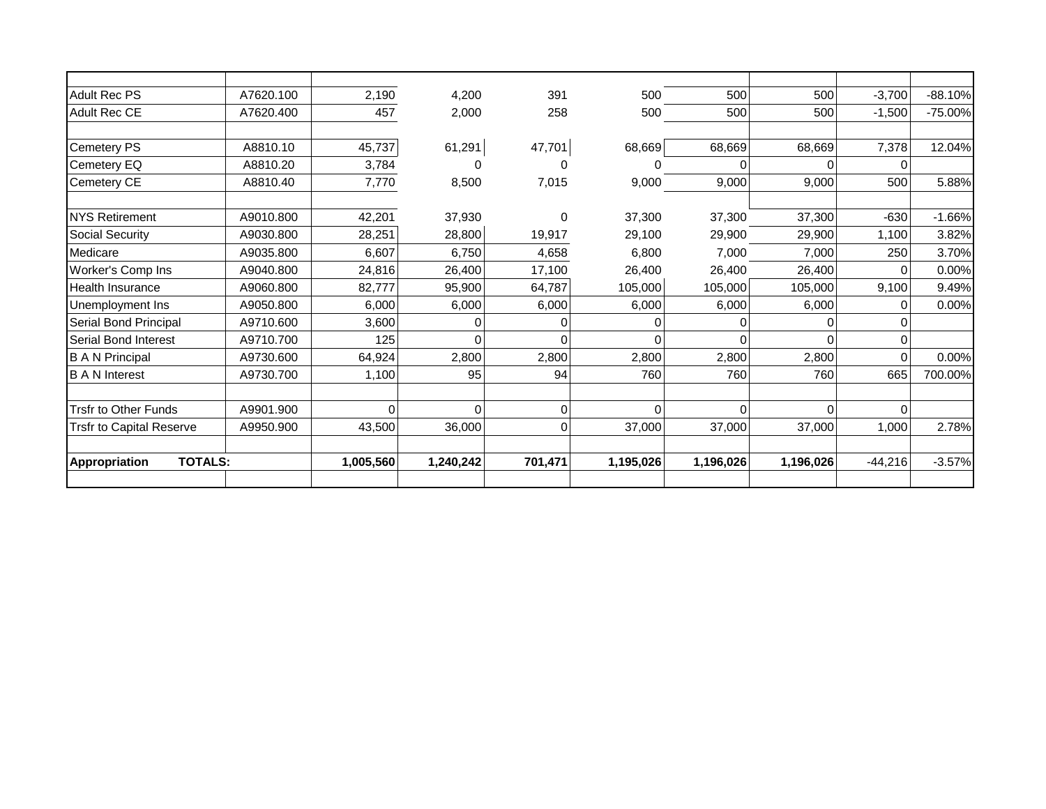| <b>Adult Rec PS</b>                    | A7620.100 | 2,190     | 4,200     | 391            | 500        | 500       | 500          | $-3,700$  | $-88.10%$  |
|----------------------------------------|-----------|-----------|-----------|----------------|------------|-----------|--------------|-----------|------------|
| Adult Rec CE                           | A7620.400 | 457       | 2,000     | 258            | 500        | 500       | 500          | $-1,500$  | $-75.00\%$ |
|                                        |           |           |           |                |            |           |              |           |            |
| <b>Cemetery PS</b>                     | A8810.10  | 45,737    | 61,291    | 47,701         | 68,669     | 68,669    | 68,669       | 7,378     | 12.04%     |
| Cemetery EQ                            | A8810.20  | 3,784     |           | U              |            | O         | <sup>n</sup> |           |            |
| Cemetery CE                            | A8810.40  | 7,770     | 8,500     | 7,015          | 9,000      | 9,000     | 9,000        | 500       | 5.88%      |
| <b>NYS Retirement</b>                  | A9010.800 | 42,201    | 37,930    | 0              | 37,300     | 37,300    | 37,300       | $-630$    | $-1.66%$   |
| <b>Social Security</b>                 | A9030.800 | 28,251    | 28,800    | 19,917         | 29,100     | 29,900    | 29,900       | 1,100     | 3.82%      |
| Medicare                               | A9035.800 | 6,607     | 6,750     | 4,658          | 6,800      | 7,000     | 7,000        | 250       | 3.70%      |
| Worker's Comp Ins                      | A9040.800 | 24,816    | 26,400    | 17,100         | 26,400     | 26,400    | 26,400       |           | 0.00%      |
| <b>Health Insurance</b>                | A9060.800 | 82,777    | 95,900    | 64,787         | 105,000    | 105,000   | 105,000      | 9,100     | 9.49%      |
| Unemployment Ins                       | A9050.800 | 6,000     | 6,000     | 6,000          | 6,000      | 6,000     | 6,000        |           | 0.00%      |
| Serial Bond Principal                  | A9710.600 | 3,600     |           | 0              | C          | 0         | 0            |           |            |
| Serial Bond Interest                   | A9710.700 | 125       | U         | 0              | $\sqrt{ }$ | $\Omega$  | 0            |           |            |
| <b>B A N Principal</b>                 | A9730.600 | 64,924    | 2,800     | 2,800          | 2,800      | 2,800     | 2,800        |           | 0.00%      |
| <b>B A N Interest</b>                  | A9730.700 | 1,100     | 95        | 94             | 760        | 760       | 760          | 665       | 700.00%    |
|                                        |           |           |           |                |            |           |              |           |            |
| <b>Trsfr to Other Funds</b>            | A9901.900 | ∩         | $\Omega$  | $\Omega$       | $\Omega$   | $\Omega$  | $\Omega$     | $\Omega$  |            |
| <b>Trsfr to Capital Reserve</b>        | A9950.900 | 43,500    | 36,000    | $\overline{0}$ | 37,000     | 37,000    | 37,000       | 1,000     | 2.78%      |
| <b>TOTALS:</b><br><b>Appropriation</b> |           | 1,005,560 | 1,240,242 | 701,471        | 1,195,026  | 1,196,026 | 1,196,026    | $-44,216$ | $-3.57%$   |
|                                        |           |           |           |                |            |           |              |           |            |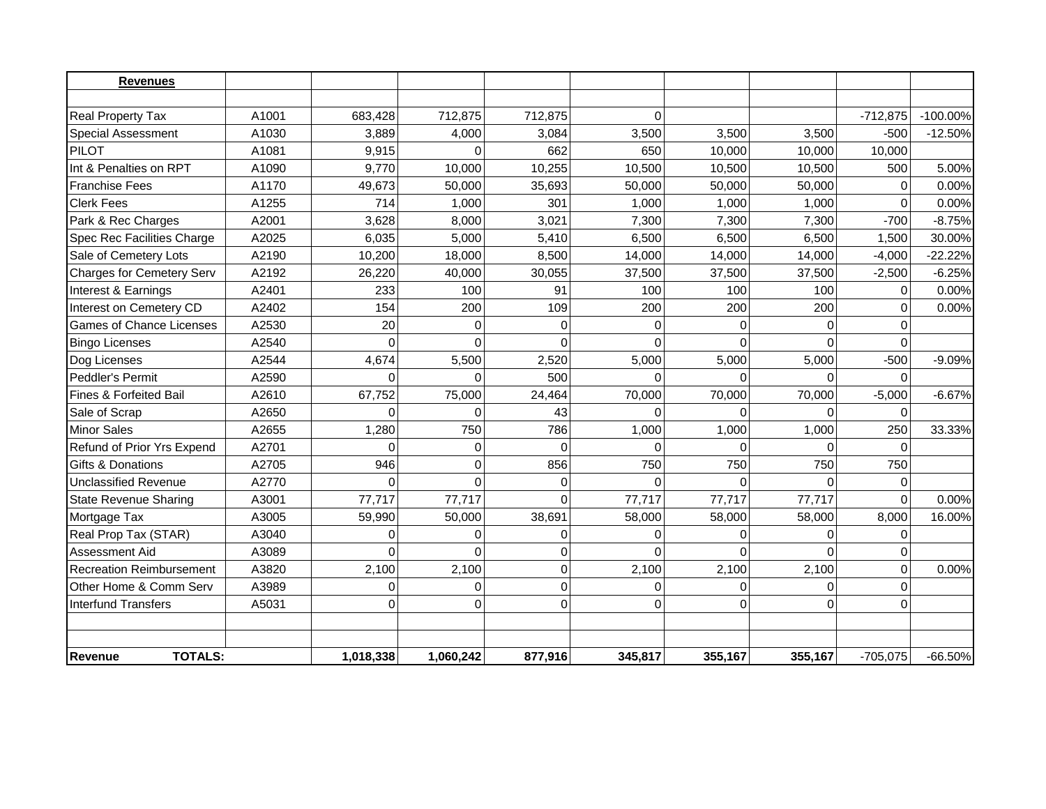| <b>Revenues</b>                  |       |           |           |          |          |                |          |            |             |
|----------------------------------|-------|-----------|-----------|----------|----------|----------------|----------|------------|-------------|
|                                  |       |           |           |          |          |                |          |            |             |
| <b>Real Property Tax</b>         | A1001 | 683,428   | 712,875   | 712,875  | $\Omega$ |                |          | $-712,875$ | $-100.00\%$ |
| <b>Special Assessment</b>        | A1030 | 3,889     | 4,000     | 3,084    | 3,500    | 3,500          | 3,500    | $-500$     | $-12.50%$   |
| <b>PILOT</b>                     | A1081 | 9,915     | ∩         | 662      | 650      | 10,000         | 10,000   | 10,000     |             |
| Int & Penalties on RPT           | A1090 | 9,770     | 10,000    | 10,255   | 10,500   | 10,500         | 10,500   | 500        | 5.00%       |
| <b>Franchise Fees</b>            | A1170 | 49,673    | 50,000    | 35,693   | 50,000   | 50,000         | 50,000   | $\Omega$   | 0.00%       |
| <b>Clerk Fees</b>                | A1255 | 714       | 1,000     | 301      | 1,000    | 1,000          | 1,000    | $\Omega$   | 0.00%       |
| Park & Rec Charges               | A2001 | 3,628     | 8,000     | 3,021    | 7,300    | 7,300          | 7,300    | $-700$     | $-8.75%$    |
| Spec Rec Facilities Charge       | A2025 | 6,035     | 5,000     | 5,410    | 6,500    | 6,500          | 6,500    | 1,500      | 30.00%      |
| Sale of Cemetery Lots            | A2190 | 10,200    | 18,000    | 8,500    | 14,000   | 14,000         | 14,000   | $-4,000$   | $-22.22%$   |
| <b>Charges for Cemetery Serv</b> | A2192 | 26,220    | 40,000    | 30,055   | 37,500   | 37,500         | 37,500   | $-2,500$   | $-6.25%$    |
| Interest & Earnings              | A2401 | 233       | 100       | 91       | 100      | 100            | 100      | $\Omega$   | 0.00%       |
| Interest on Cemetery CD          | A2402 | 154       | 200       | 109      | 200      | 200            | 200      | $\Omega$   | 0.00%       |
| <b>Games of Chance Licenses</b>  | A2530 | 20        | $\Omega$  | $\Omega$ | $\Omega$ | 0              | $\Omega$ | $\Omega$   |             |
| <b>Bingo Licenses</b>            | A2540 | $\Omega$  | ∩         |          | $\Omega$ | $\Omega$       |          | $\Omega$   |             |
| Dog Licenses                     | A2544 | 4,674     | 5,500     | 2,520    | 5,000    | 5,000          | 5,000    | $-500$     | $-9.09%$    |
| Peddler's Permit                 | A2590 | $\Omega$  |           | 500      | $\Omega$ | $\Omega$       |          | $\Omega$   |             |
| Fines & Forfeited Bail           | A2610 | 67,752    | 75,000    | 24,464   | 70,000   | 70,000         | 70,000   | $-5,000$   | $-6.67%$    |
| Sale of Scrap                    | A2650 | 0         |           | 43       | $\Omega$ | U              |          | O          |             |
| <b>Minor Sales</b>               | A2655 | 1,280     | 750       | 786      | 1,000    | 1,000          | 1,000    | 250        | 33.33%      |
| Refund of Prior Yrs Expend       | A2701 | $\Omega$  | $\Omega$  | $\Omega$ | $\Omega$ | $\Omega$       | $\Omega$ | $\Omega$   |             |
| <b>Gifts &amp; Donations</b>     | A2705 | 946       | O         | 856      | 750      | 750            | 750      | 750        |             |
| <b>Unclassified Revenue</b>      | A2770 | $\Omega$  | $\Omega$  | 0        | $\Omega$ | $\overline{0}$ | $\Omega$ | $\Omega$   |             |
| <b>State Revenue Sharing</b>     | A3001 | 77,717    | 77,717    | $\Omega$ | 77,717   | 77,717         | 77,717   | $\Omega$   | 0.00%       |
| Mortgage Tax                     | A3005 | 59,990    | 50,000    | 38,691   | 58,000   | 58,000         | 58,000   | 8,000      | 16.00%      |
| Real Prop Tax (STAR)             | A3040 | $\Omega$  | $\Omega$  | $\Omega$ | $\Omega$ | $\Omega$       | $\Omega$ | $\Omega$   |             |
| Assessment Aid                   | A3089 | $\Omega$  | $\Omega$  | $\Omega$ | $\Omega$ | $\Omega$       |          | $\Omega$   |             |
| <b>Recreation Reimbursement</b>  | A3820 | 2,100     | 2,100     | $\Omega$ | 2,100    | 2,100          | 2,100    | $\Omega$   | 0.00%       |
| Other Home & Comm Serv           | A3989 | $\Omega$  | $\Omega$  | 0        | $\Omega$ | 0              | $\Omega$ | $\Omega$   |             |
| <b>Interfund Transfers</b>       | A5031 | $\Omega$  | $\Omega$  | $\Omega$ | $\Omega$ | $\Omega$       | $\Omega$ | $\Omega$   |             |
|                                  |       |           |           |          |          |                |          |            |             |
| <b>TOTALS:</b>                   |       |           |           |          |          |                |          |            |             |
| Revenue                          |       | 1,018,338 | 1,060,242 | 877,916  | 345,817  | 355,167        | 355,167  | $-705,075$ | $-66.50%$   |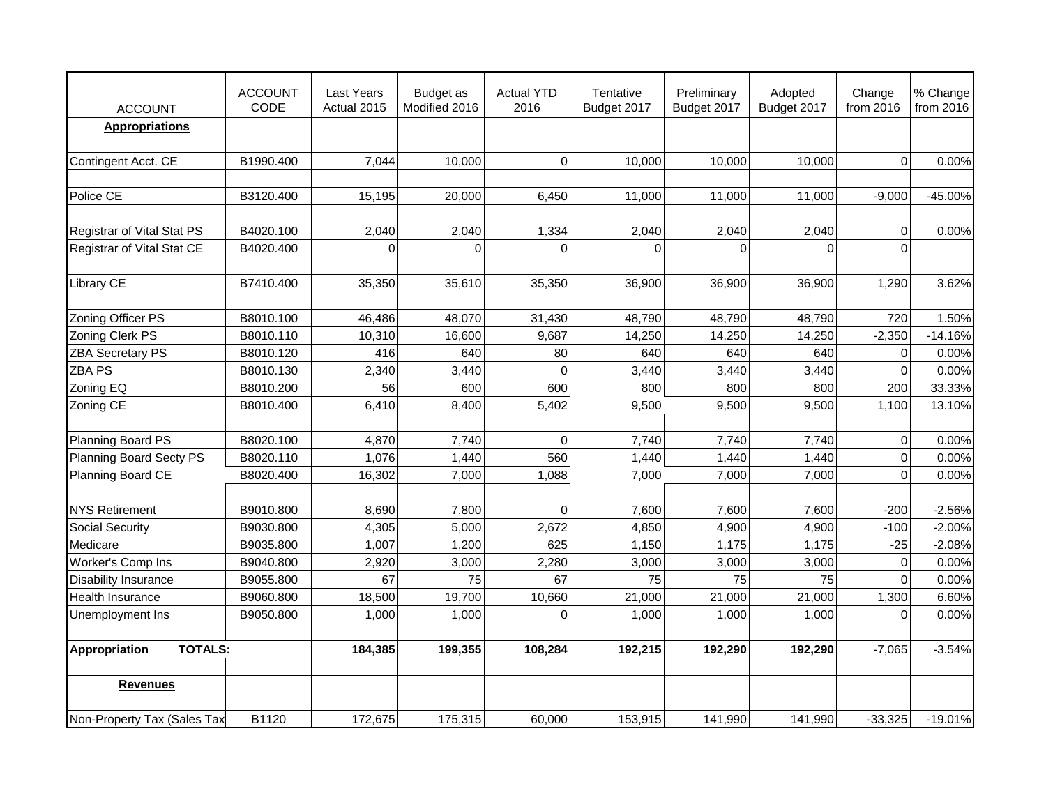| <b>ACCOUNT</b>                  | <b>ACCOUNT</b><br>CODE | Last Years<br>Actual 2015 | Budget as<br>Modified 2016 | <b>Actual YTD</b><br>2016 | Tentative<br>Budget 2017 | Preliminary<br>Budget 2017 | Adopted<br>Budget 2017 | Change<br>from 2016 | % Change<br>from 2016 |
|---------------------------------|------------------------|---------------------------|----------------------------|---------------------------|--------------------------|----------------------------|------------------------|---------------------|-----------------------|
| <b>Appropriations</b>           |                        |                           |                            |                           |                          |                            |                        |                     |                       |
|                                 |                        |                           |                            |                           |                          |                            |                        |                     |                       |
| Contingent Acct. CE             | B1990.400              | 7,044                     | 10,000                     | 0                         | 10,000                   | 10,000                     | 10,000                 | $\mathbf 0$         | 0.00%                 |
|                                 |                        |                           |                            |                           |                          |                            |                        |                     |                       |
| Police CE                       | B3120.400              | 15,195                    | 20,000                     | 6,450                     | 11,000                   | 11,000                     | 11,000                 | $-9,000$            | -45.00%               |
|                                 |                        |                           |                            |                           |                          |                            |                        |                     |                       |
| Registrar of Vital Stat PS      | B4020.100              | 2,040                     | 2,040                      | 1,334                     | 2,040                    | 2,040                      | 2,040                  | $\pmb{0}$           | 0.00%                 |
| Registrar of Vital Stat CE      | B4020.400              | $\mathbf 0$               | $\Omega$                   | $\mathbf 0$               | 0                        | $\mathbf 0$                | $\Omega$               | $\Omega$            |                       |
|                                 |                        |                           |                            |                           |                          |                            |                        |                     |                       |
| <b>Library CE</b>               | B7410.400              | 35,350                    | 35,610                     | 35,350                    | 36,900                   | 36,900                     | 36,900                 | 1,290               | 3.62%                 |
|                                 |                        |                           |                            |                           |                          |                            |                        |                     |                       |
| Zoning Officer PS               | B8010.100              | 46,486                    | 48,070                     | 31,430                    | 48,790                   | 48,790                     | 48,790                 | 720                 | 1.50%                 |
| Zoning Clerk PS                 | B8010.110              | 10,310                    | 16,600                     | 9,687                     | 14,250                   | 14,250                     | 14,250                 | $-2,350$            | $-14.16%$             |
| <b>ZBA Secretary PS</b>         | B8010.120              | 416                       | 640                        | 80                        | 640                      | 640                        | 640                    | $\mathbf 0$         | 0.00%                 |
| <b>ZBA PS</b>                   | B8010.130              | 2,340                     | 3,440                      | $\Omega$                  | 3,440                    | 3,440                      | 3,440                  | $\Omega$            | 0.00%                 |
| Zoning EQ                       | B8010.200              | 56                        | 600                        | 600                       | 800                      | 800                        | 800                    | 200                 | 33.33%                |
| Zoning CE                       | B8010.400              | 6,410                     | 8,400                      | 5,402                     | 9,500                    | 9,500                      | 9,500                  | 1,100               | 13.10%                |
|                                 |                        |                           |                            |                           |                          |                            |                        |                     |                       |
| Planning Board PS               | B8020.100              | 4,870                     | 7,740                      | $\Omega$                  | 7,740                    | 7,740                      | 7,740                  | $\mathbf 0$         | 0.00%                 |
| Planning Board Secty PS         | B8020.110              | 1,076                     | 1,440                      | 560                       | 1,440                    | 1,440                      | 1,440                  | $\Omega$            | 0.00%                 |
| Planning Board CE               | B8020.400              | 16,302                    | 7,000                      | 1,088                     | 7,000                    | 7,000                      | 7,000                  | $\Omega$            | 0.00%                 |
|                                 |                        |                           |                            |                           |                          |                            |                        |                     |                       |
| <b>NYS Retirement</b>           | B9010.800              | 8,690                     | 7,800                      | $\Omega$                  | 7,600                    | 7,600                      | 7,600                  | $-200$              | $-2.56%$              |
| Social Security                 | B9030.800              | 4,305                     | 5,000                      | 2,672                     | 4,850                    | 4,900                      | 4,900                  | $-100$              | $-2.00%$              |
| Medicare                        | B9035.800              | 1,007                     | 1,200                      | 625                       | 1,150                    | 1,175                      | 1,175                  | $-25$               | $-2.08%$              |
| Worker's Comp Ins               | B9040.800              | 2,920                     | 3,000                      | 2,280                     | 3,000                    | 3,000                      | 3,000                  | $\mathbf 0$         | 0.00%                 |
| <b>Disability Insurance</b>     | B9055.800              | 67                        | 75                         | 67                        | 75                       | 75                         | 75                     | $\Omega$            | 0.00%                 |
| Health Insurance                | B9060.800              | 18,500                    | 19,700                     | 10,660                    | 21,000                   | 21,000                     | 21,000                 | 1,300               | 6.60%                 |
| Unemployment Ins                | B9050.800              | 1,000                     | 1,000                      | $\Omega$                  | 1,000                    | 1,000                      | 1,000                  | $\Omega$            | 0.00%                 |
|                                 |                        |                           |                            |                           |                          |                            |                        |                     |                       |
| <b>TOTALS:</b><br>Appropriation |                        | 184,385                   | 199,355                    | 108,284                   | 192,215                  | 192,290                    | 192,290                | $-7,065$            | $-3.54%$              |
|                                 |                        |                           |                            |                           |                          |                            |                        |                     |                       |
| <b>Revenues</b>                 |                        |                           |                            |                           |                          |                            |                        |                     |                       |
|                                 |                        |                           |                            |                           |                          |                            |                        |                     |                       |
| Non-Property Tax (Sales Tax     | B1120                  | 172,675                   | 175,315                    | 60,000                    | 153,915                  | 141,990                    | 141,990                | $-33,325$           | $-19.01%$             |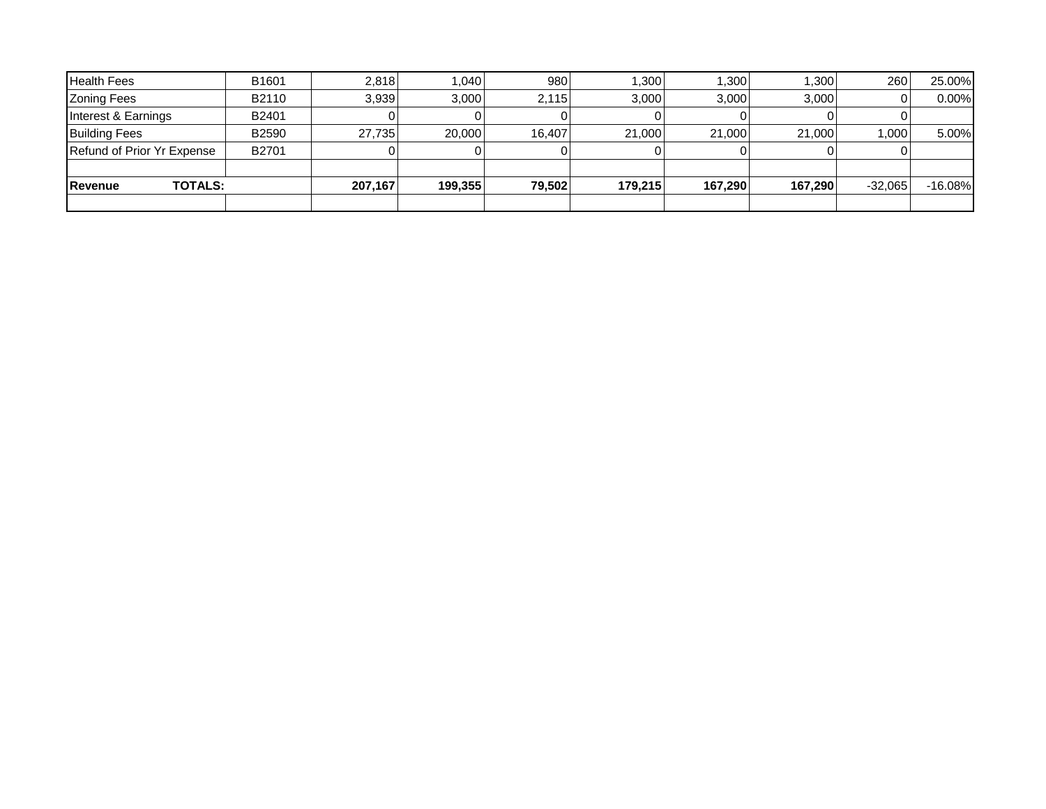| <b>Health Fees</b>                | B <sub>1601</sub> | 2.818   | .040    | 980    | ا300. ا | 1,300   | 1.300   | 260       | 25.00%     |
|-----------------------------------|-------------------|---------|---------|--------|---------|---------|---------|-----------|------------|
| <b>Zoning Fees</b>                | B2110             | 3.939   | 3,000   | 2.115  | 3.000   | 3,000   | 3.000   |           | 0.00%      |
| Interest & Earnings               | B2401             |         |         |        |         |         |         |           |            |
| <b>Building Fees</b>              | B2590             | 27.735  | 20,000  | 16.407 | 21,000  | 21,000  | 21,000  | 1,000     | $5.00\%$   |
| Refund of Prior Yr Expense        | B2701             |         |         |        |         |         |         |           |            |
|                                   |                   |         |         |        |         |         |         |           |            |
| <b>TOTALS:</b><br><b>IRevenue</b> |                   | 207,167 | 199.355 | 79,502 | 179.215 | 167.290 | 167.290 | $-32,065$ | $-16.08\%$ |
|                                   |                   |         |         |        |         |         |         |           |            |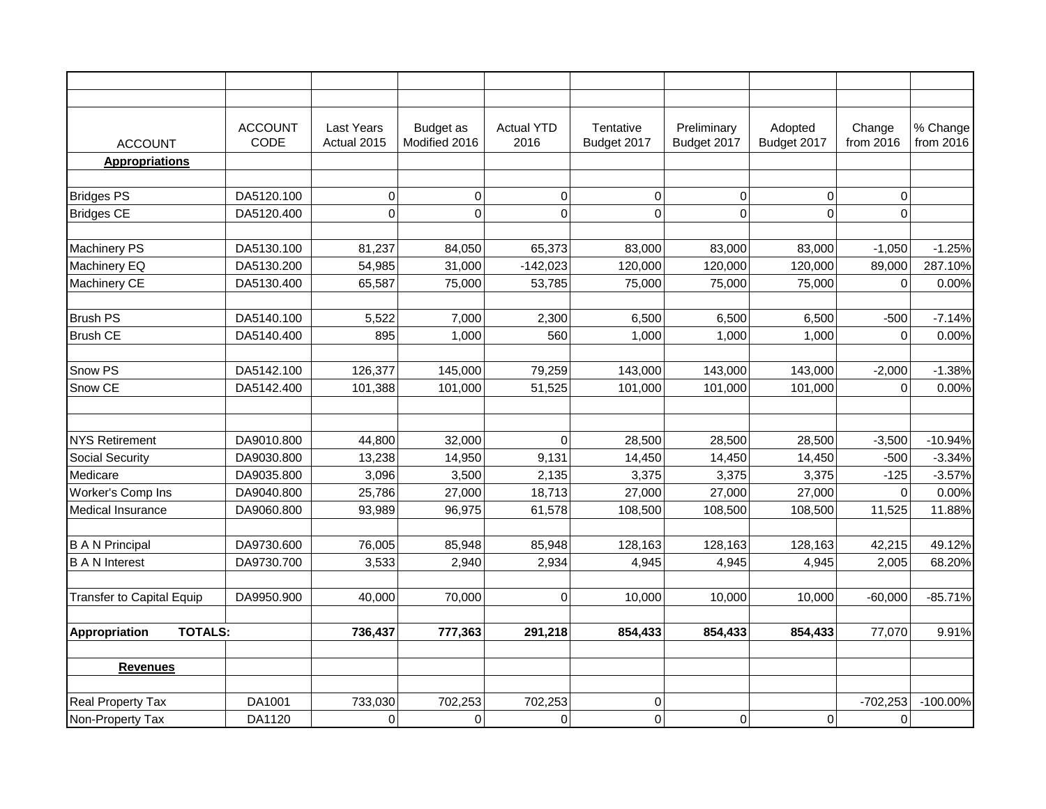| <b>ACCOUNT</b>                   | <b>ACCOUNT</b><br>CODE | Last Years<br>Actual 2015 | Budget as<br>Modified 2016 | <b>Actual YTD</b><br>2016 | Tentative<br>Budget 2017 | Preliminary<br>Budget 2017 | Adopted<br>Budget 2017 | Change<br>from 2016 | % Change<br>from 2016 |
|----------------------------------|------------------------|---------------------------|----------------------------|---------------------------|--------------------------|----------------------------|------------------------|---------------------|-----------------------|
| <b>Appropriations</b>            |                        |                           |                            |                           |                          |                            |                        |                     |                       |
|                                  |                        |                           |                            |                           |                          |                            |                        |                     |                       |
| <b>Bridges PS</b>                | DA5120.100             | 0                         | $\Omega$                   | 0                         | 0                        | 0                          | $\Omega$               | $\Omega$            |                       |
| <b>Bridges CE</b>                | DA5120.400             | $\mathbf 0$               | $\mathbf 0$                | $\mathbf 0$               | $\mathbf 0$              | 0                          | $\Omega$               | $\mathbf 0$         |                       |
|                                  |                        |                           |                            |                           |                          |                            |                        |                     |                       |
| <b>Machinery PS</b>              | DA5130.100             | 81,237                    | 84,050                     | 65,373                    | 83,000                   | 83,000                     | 83,000                 | $-1,050$            | $-1.25%$              |
| Machinery EQ                     | DA5130.200             | 54,985                    | 31,000                     | $-142,023$                | 120,000                  | 120,000                    | 120,000                | 89,000              | 287.10%               |
| Machinery CE                     | DA5130.400             | 65,587                    | 75,000                     | 53,785                    | 75,000                   | 75,000                     | 75,000                 | $\overline{0}$      | 0.00%                 |
|                                  |                        |                           |                            |                           |                          |                            |                        |                     |                       |
| <b>Brush PS</b>                  | DA5140.100             | 5,522                     | 7,000                      | 2,300                     | 6,500                    | 6,500                      | 6,500                  | $-500$              | $-7.14%$              |
| <b>Brush CE</b>                  | DA5140.400             | 895                       | 1,000                      | 560                       | 1,000                    | 1,000                      | 1,000                  | $\Omega$            | 0.00%                 |
|                                  |                        |                           |                            |                           |                          |                            |                        |                     |                       |
| Snow PS                          | DA5142.100             | 126,377                   | 145,000                    | 79,259                    | 143,000                  | 143,000                    | 143,000                | $-2,000$            | $-1.38%$              |
| Snow CE                          | DA5142.400             | 101,388                   | 101,000                    | 51,525                    | 101,000                  | 101,000                    | 101,000                | $\mathbf 0$         | 0.00%                 |
|                                  |                        |                           |                            |                           |                          |                            |                        |                     |                       |
|                                  |                        |                           |                            |                           |                          |                            |                        |                     |                       |
| <b>NYS Retirement</b>            | DA9010.800             | 44,800                    | 32,000                     | 0                         | 28,500                   | 28,500                     | 28,500                 | $-3,500$            | $-10.94%$             |
| <b>Social Security</b>           | DA9030.800             | 13,238                    | 14,950                     | 9,131                     | 14,450                   | 14,450                     | 14,450                 | $-500$              | $-3.34%$              |
| Medicare                         | DA9035.800             | 3,096                     | 3,500                      | 2,135                     | 3,375                    | 3,375                      | 3,375                  | $-125$              | $-3.57%$              |
| Worker's Comp Ins                | DA9040.800             | 25,786                    | 27,000                     | 18,713                    | 27,000                   | 27,000                     | 27,000                 | $\mathbf 0$         | 0.00%                 |
| <b>Medical Insurance</b>         | DA9060.800             | 93,989                    | 96,975                     | 61,578                    | 108,500                  | 108,500                    | 108,500                | 11,525              | 11.88%                |
|                                  |                        |                           |                            |                           |                          |                            |                        |                     |                       |
| <b>B A N Principal</b>           | DA9730.600             | 76,005                    | 85,948                     | 85,948                    | 128,163                  | 128,163                    | 128,163                | 42,215              | 49.12%                |
| <b>B A N Interest</b>            | DA9730.700             | 3,533                     | 2,940                      | 2,934                     | 4,945                    | 4,945                      | 4,945                  | 2,005               | 68.20%                |
|                                  |                        |                           |                            |                           |                          |                            |                        |                     |                       |
| <b>Transfer to Capital Equip</b> | DA9950.900             | 40,000                    | 70,000                     | 0                         | 10,000                   | 10,000                     | 10,000                 | $-60,000$           | $-85.71%$             |
| <b>TOTALS:</b><br>Appropriation  |                        | 736,437                   | 777,363                    | 291,218                   | 854,433                  | 854,433                    | 854,433                | 77,070              | 9.91%                 |
|                                  |                        |                           |                            |                           |                          |                            |                        |                     |                       |
| <b>Revenues</b>                  |                        |                           |                            |                           |                          |                            |                        |                     |                       |
|                                  |                        |                           |                            |                           |                          |                            |                        |                     |                       |
| <b>Real Property Tax</b>         | DA1001                 | 733,030                   | 702,253                    | 702,253                   | 0                        |                            |                        | $-702,253$          | $-100.00%$            |
| Non-Property Tax                 | DA1120                 | $\mathbf 0$               | $\mathbf 0$                | $\mathbf 0$               | $\mathbf 0$              | $\mathbf 0$                | $\mathbf 0$            | $\mathbf 0$         |                       |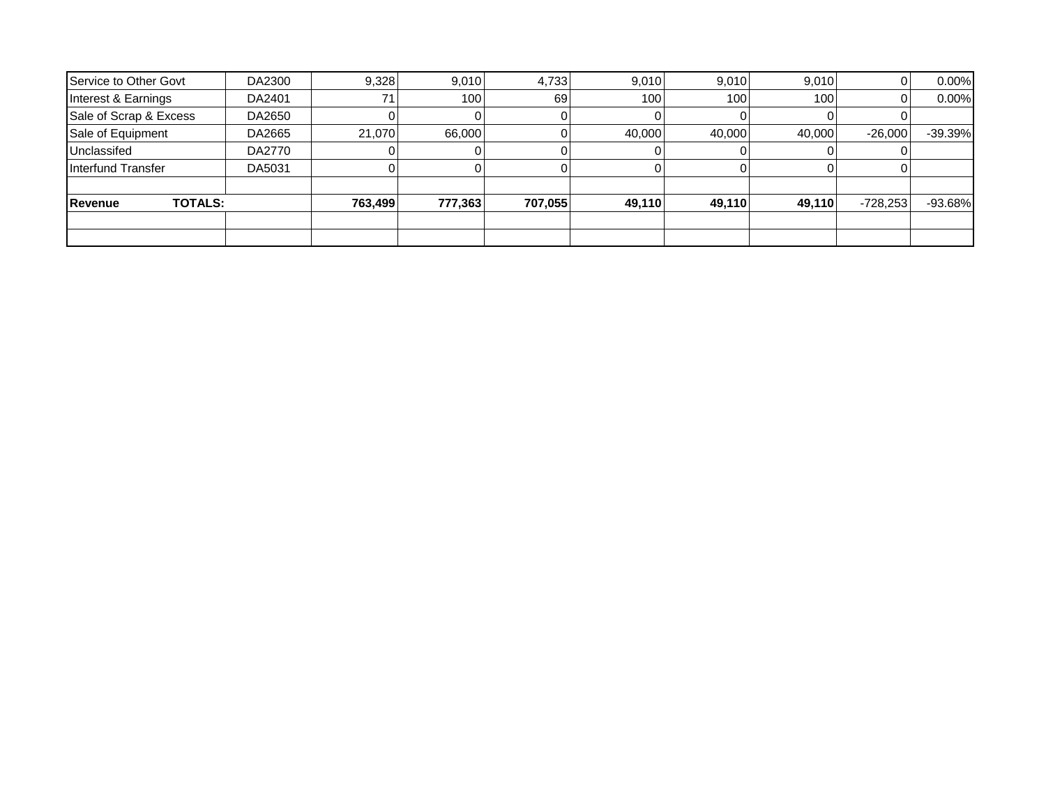| Service to Other Govt            | DA2300 | 9,328   | 9,010   | 4,733   | 9,010  | 9,010  | 9,010  |            | 0.00%     |
|----------------------------------|--------|---------|---------|---------|--------|--------|--------|------------|-----------|
| Interest & Earnings              | DA2401 | 71      | 100     | 69      | 100    | 100    | 100    |            | 0.00%     |
| Sale of Scrap & Excess           | DA2650 |         |         |         |        |        |        |            |           |
| Sale of Equipment                | DA2665 | 21.070  | 66,000  |         | 40,000 | 40,000 | 40,000 | $-26,000$  | $-39.39%$ |
| Unclassifed                      | DA2770 |         |         |         |        |        |        |            |           |
| Interfund Transfer               | DA5031 |         |         |         |        |        |        |            |           |
|                                  |        |         |         |         |        |        |        |            |           |
| <b>TOTALS:</b><br><b>Revenue</b> |        | 763,499 | 777,363 | 707,055 | 49,110 | 49,110 | 49,110 | $-728,253$ | $-93.68%$ |
|                                  |        |         |         |         |        |        |        |            |           |
|                                  |        |         |         |         |        |        |        |            |           |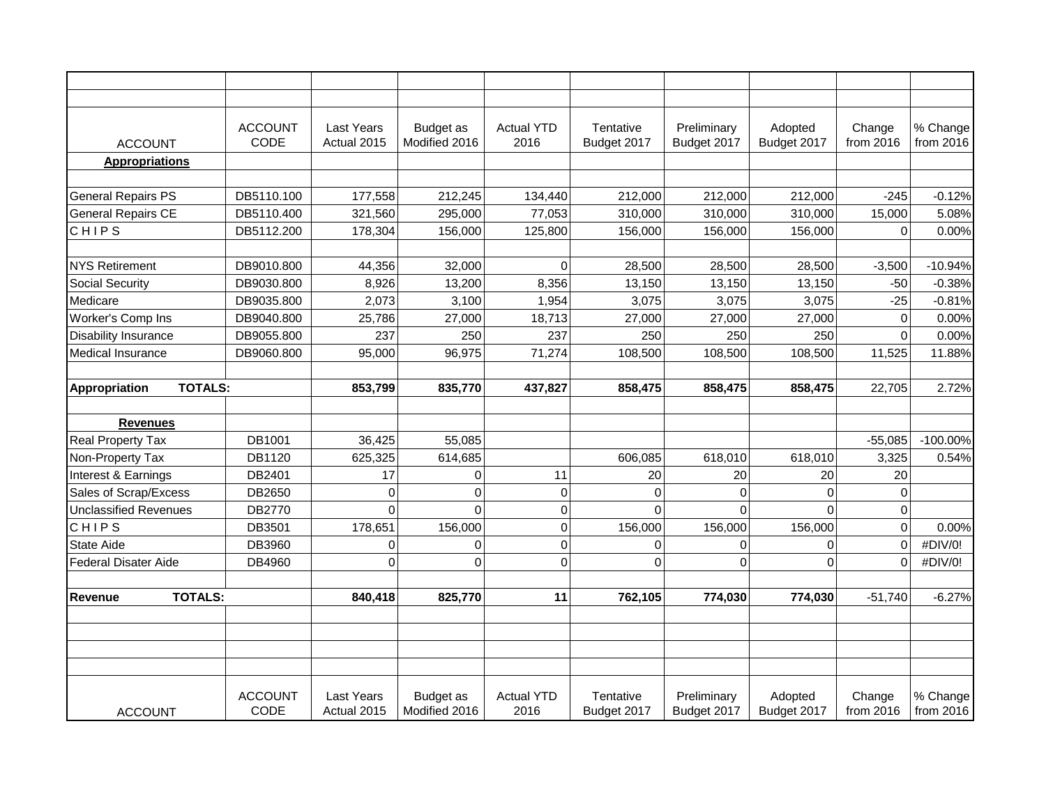| <b>ACCOUNT</b>                  | <b>ACCOUNT</b><br>CODE | <b>Last Years</b><br>Actual 2015 | Budget as<br>Modified 2016        | <b>Actual YTD</b><br>2016 | Tentative<br>Budget 2017 | Preliminary<br>Budget 2017 | Adopted<br>Budget 2017 | Change<br>from 2016 | % Change<br>from 2016 |
|---------------------------------|------------------------|----------------------------------|-----------------------------------|---------------------------|--------------------------|----------------------------|------------------------|---------------------|-----------------------|
| <b>Appropriations</b>           |                        |                                  |                                   |                           |                          |                            |                        |                     |                       |
|                                 |                        |                                  |                                   |                           |                          |                            |                        |                     |                       |
| <b>General Repairs PS</b>       | DB5110.100             | 177,558                          | 212,245                           | 134,440                   | 212,000                  | 212,000                    | 212,000                | $-245$              | $-0.12%$              |
| <b>General Repairs CE</b>       | DB5110.400             | 321,560                          | 295,000                           | 77,053                    | 310,000                  | 310,000                    | 310,000                | 15,000              | 5.08%                 |
| <b>CHIPS</b>                    | DB5112.200             | 178,304                          | 156,000                           | 125,800                   | 156,000                  | 156,000                    | 156,000                | $\Omega$            | 0.00%                 |
|                                 |                        |                                  |                                   |                           |                          |                            |                        |                     |                       |
| <b>NYS Retirement</b>           | DB9010.800             | 44,356                           | 32,000                            | $\Omega$                  | 28,500                   | 28,500                     | 28,500                 | $-3,500$            | $-10.94%$             |
| <b>Social Security</b>          | DB9030.800             | 8,926                            | 13,200                            | 8,356                     | 13,150                   | 13,150                     | 13,150                 | $-50$               | $-0.38%$              |
| Medicare                        | DB9035.800             | 2,073                            | 3,100                             | 1,954                     | 3,075                    | 3,075                      | 3,075                  | $-25$               | $-0.81%$              |
| Worker's Comp Ins               | DB9040.800             | 25,786                           | 27,000                            | 18,713                    | 27,000                   | 27,000                     | 27,000                 | $\Omega$            | 0.00%                 |
| <b>Disability Insurance</b>     | DB9055.800             | 237                              | 250                               | 237                       | 250                      | 250                        | 250                    | $\Omega$            | 0.00%                 |
| Medical Insurance               | DB9060.800             | 95,000                           | 96,975                            | 71,274                    | 108,500                  | 108,500                    | 108,500                | 11,525              | 11.88%                |
|                                 |                        |                                  |                                   |                           |                          |                            |                        |                     |                       |
| <b>TOTALS:</b><br>Appropriation |                        | 853,799                          | 835,770                           | 437,827                   | 858,475                  | 858,475                    | 858,475                | 22,705              | 2.72%                 |
|                                 |                        |                                  |                                   |                           |                          |                            |                        |                     |                       |
| <b>Revenues</b>                 |                        |                                  |                                   |                           |                          |                            |                        |                     |                       |
| <b>Real Property Tax</b>        | DB1001                 | 36,425                           | 55,085                            |                           |                          |                            |                        | $-55,085$           | $-100.00\%$           |
| Non-Property Tax                | DB1120                 | 625,325                          | 614,685                           |                           | 606,085                  | 618,010                    | 618,010                | 3,325               | 0.54%                 |
| Interest & Earnings             | DB2401                 | 17                               | $\mathbf 0$                       | 11                        | 20                       | 20                         | 20                     | 20                  |                       |
| Sales of Scrap/Excess           | DB2650                 | $\mathbf 0$                      | $\mathbf 0$                       | $\overline{0}$            | 0                        | $\mathbf 0$                | $\Omega$               | $\Omega$            |                       |
| <b>Unclassified Revenues</b>    | DB2770                 | $\Omega$                         | $\Omega$                          | $\mathbf 0$               | $\Omega$                 | $\Omega$                   | $\Omega$               | $\Omega$            |                       |
| CHIPS                           | DB3501                 | 178,651                          | 156,000                           | $\mathbf 0$               | 156,000                  | 156,000                    | 156,000                | $\Omega$            | 0.00%                 |
| <b>State Aide</b>               | DB3960                 | $\mathbf 0$                      | $\Omega$                          | $\mathbf 0$               | 0                        | $\mathbf 0$                | $\Omega$               | $\Omega$            | #DIV/0!               |
| Federal Disater Aide            | DB4960                 | $\Omega$                         | $\Omega$                          | $\Omega$                  | $\Omega$                 | $\Omega$                   | $\Omega$               | $\Omega$            | #DIV/0!               |
|                                 |                        |                                  |                                   |                           |                          |                            |                        |                     |                       |
| <b>TOTALS:</b><br>Revenue       |                        | 840,418                          | 825,770                           | 11                        | 762,105                  | 774,030                    | 774,030                | $-51,740$           | $-6.27%$              |
|                                 |                        |                                  |                                   |                           |                          |                            |                        |                     |                       |
|                                 |                        |                                  |                                   |                           |                          |                            |                        |                     |                       |
|                                 |                        |                                  |                                   |                           |                          |                            |                        |                     |                       |
|                                 |                        |                                  |                                   |                           |                          |                            |                        |                     |                       |
|                                 |                        |                                  |                                   |                           |                          |                            |                        |                     |                       |
| <b>ACCOUNT</b>                  | <b>ACCOUNT</b><br>CODE | Last Years<br>Actual 2015        | <b>Budget</b> as<br>Modified 2016 | <b>Actual YTD</b><br>2016 | Tentative<br>Budget 2017 | Preliminary<br>Budget 2017 | Adopted<br>Budget 2017 | Change<br>from 2016 | % Change<br>from 2016 |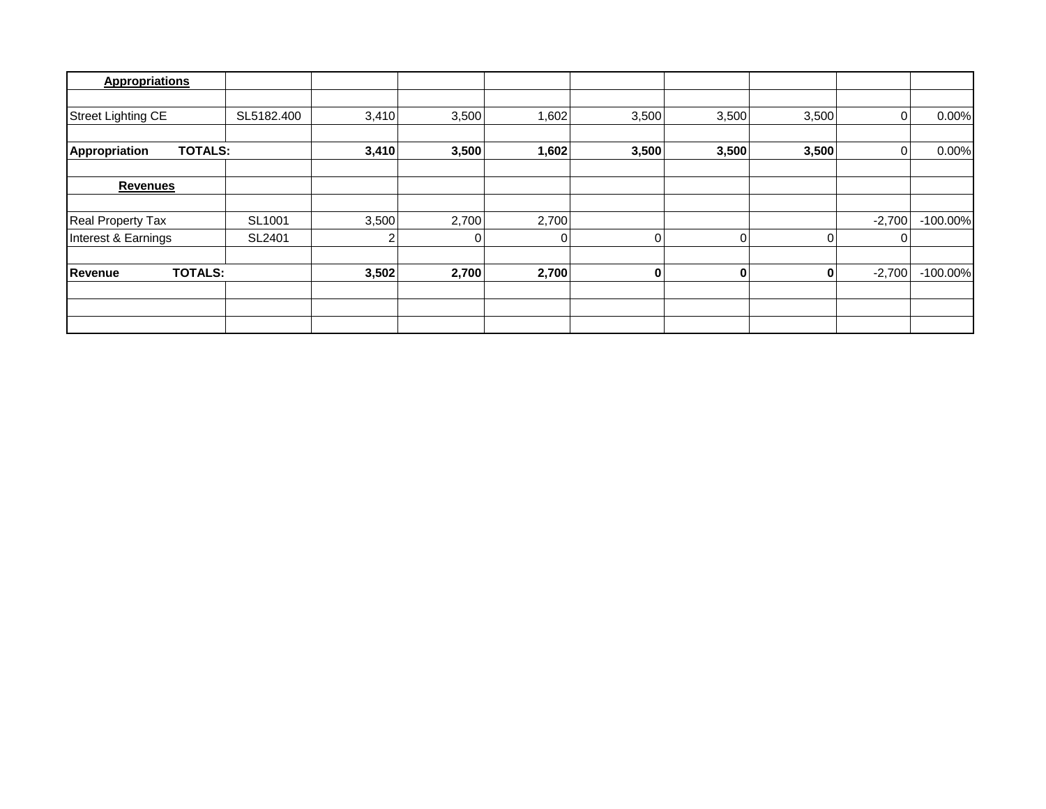| <b>Appropriations</b>     |                |       |       |       |          |       |       |          |             |
|---------------------------|----------------|-------|-------|-------|----------|-------|-------|----------|-------------|
|                           |                |       |       |       |          |       |       |          |             |
| <b>Street Lighting CE</b> | SL5182.400     | 3,410 | 3,500 | 1,602 | 3,500    | 3,500 | 3,500 |          | 0.00%       |
|                           |                |       |       |       |          |       |       |          |             |
| Appropriation             | <b>TOTALS:</b> | 3,410 | 3,500 | 1,602 | 3,500    | 3,500 | 3,500 |          | 0.00%       |
|                           |                |       |       |       |          |       |       |          |             |
| <b>Revenues</b>           |                |       |       |       |          |       |       |          |             |
|                           |                |       |       |       |          |       |       |          |             |
| <b>Real Property Tax</b>  | SL1001         | 3,500 | 2,700 | 2,700 |          |       |       | $-2,700$ | $-100.00\%$ |
| Interest & Earnings       | SL2401         |       |       | 0     | 0        | 0     |       |          |             |
| Revenue                   | <b>TOTALS:</b> | 3,502 | 2,700 | 2,700 | $\bf{0}$ | 0     |       | $-2,700$ | $-100.00\%$ |
|                           |                |       |       |       |          |       |       |          |             |
|                           |                |       |       |       |          |       |       |          |             |
|                           |                |       |       |       |          |       |       |          |             |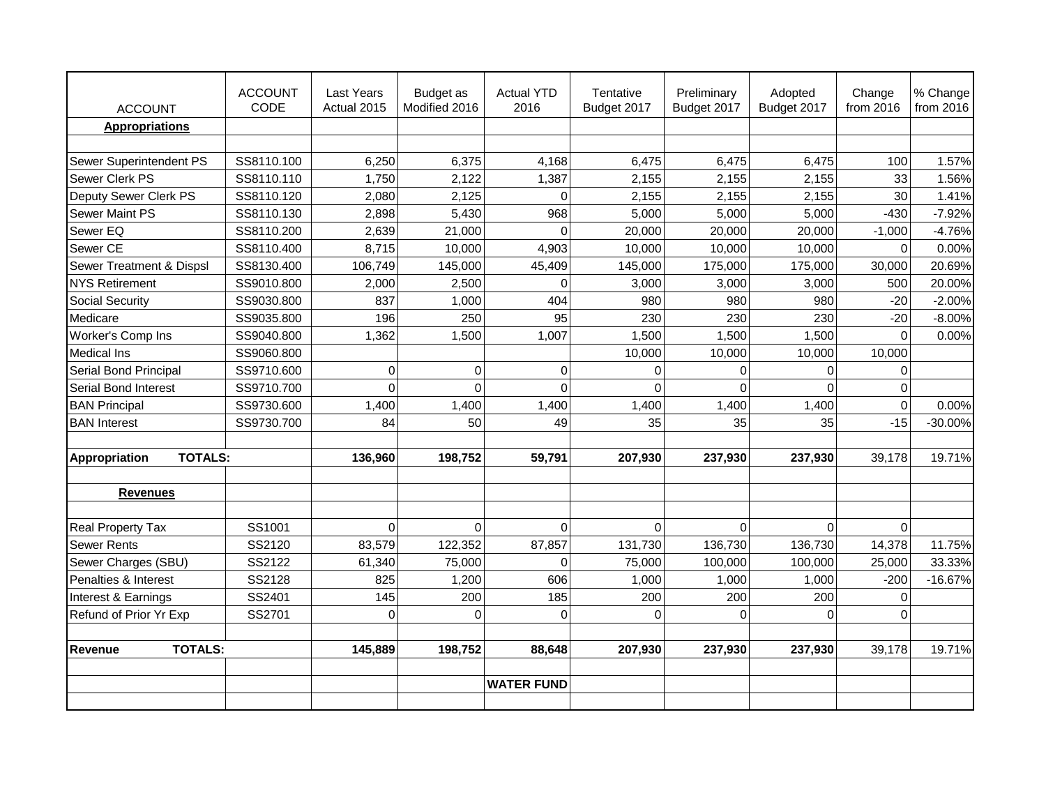| <b>ACCOUNT</b>                      | <b>ACCOUNT</b><br>CODE | <b>Last Years</b><br>Actual 2015 | Budget as<br>Modified 2016 | <b>Actual YTD</b><br>2016 | Tentative<br>Budget 2017 | Preliminary<br>Budget 2017 | Adopted<br>Budget 2017 | Change<br>from 2016 | % Change<br>from 2016 |
|-------------------------------------|------------------------|----------------------------------|----------------------------|---------------------------|--------------------------|----------------------------|------------------------|---------------------|-----------------------|
| <b>Appropriations</b>               |                        |                                  |                            |                           |                          |                            |                        |                     |                       |
|                                     |                        |                                  |                            |                           |                          |                            |                        |                     |                       |
| Sewer Superintendent PS             | SS8110.100             | 6,250                            | 6,375                      | 4,168                     | 6,475                    | 6,475                      | 6,475                  | 100                 | 1.57%                 |
| Sewer Clerk PS                      | SS8110.110             | 1,750                            | 2,122                      | 1,387                     | 2,155                    | 2,155                      | 2,155                  | 33                  | 1.56%                 |
| Deputy Sewer Clerk PS               | SS8110.120             | 2,080                            | 2,125                      | $\Omega$                  | 2,155                    | 2,155                      | 2,155                  | 30                  | 1.41%                 |
| <b>Sewer Maint PS</b>               | SS8110.130             | 2,898                            | 5,430                      | 968                       | 5,000                    | 5,000                      | 5,000                  | $-430$              | $-7.92%$              |
| Sewer EQ                            | SS8110.200             | 2,639                            | 21,000                     | $\Omega$                  | 20,000                   | 20,000                     | 20,000                 | $-1,000$            | $-4.76%$              |
| Sewer CE                            | SS8110.400             | 8,715                            | 10,000                     | 4,903                     | 10,000                   | 10,000                     | 10,000                 | $\Omega$            | 0.00%                 |
| <b>Sewer Treatment &amp; Dispsl</b> | SS8130.400             | 106,749                          | 145,000                    | 45,409                    | 145,000                  | 175,000                    | 175,000                | 30,000              | 20.69%                |
| <b>NYS Retirement</b>               | SS9010.800             | 2,000                            | 2,500                      | $\Omega$                  | 3,000                    | 3,000                      | 3,000                  | 500                 | 20.00%                |
| <b>Social Security</b>              | SS9030.800             | 837                              | 1,000                      | 404                       | 980                      | 980                        | 980                    | $-20$               | $-2.00%$              |
| Medicare                            | SS9035.800             | 196                              | 250                        | 95                        | 230                      | 230                        | 230                    | $-20$               | $-8.00%$              |
| Worker's Comp Ins                   | SS9040.800             | 1,362                            | 1,500                      | 1,007                     | 1,500                    | 1,500                      | 1,500                  | $\Omega$            | 0.00%                 |
| <b>Medical Ins</b>                  | SS9060.800             |                                  |                            |                           | 10,000                   | 10,000                     | 10,000                 | 10,000              |                       |
| Serial Bond Principal               | SS9710.600             | $\mathbf 0$                      | $\mathbf{0}$               | $\Omega$                  | $\Omega$                 | $\mathbf{0}$               | $\Omega$               | $\Omega$            |                       |
| Serial Bond Interest                | SS9710.700             | $\Omega$                         | $\Omega$                   | $\Omega$                  | $\overline{0}$           | $\overline{0}$             | $\Omega$               | $\Omega$            |                       |
| <b>BAN Principal</b>                | SS9730.600             | 1,400                            | 1,400                      | 1,400                     | 1,400                    | 1,400                      | 1,400                  | $\Omega$            | 0.00%                 |
| <b>BAN</b> Interest                 | SS9730.700             | 84                               | 50                         | 49                        | 35                       | 35                         | 35                     | $-15$               | $-30.00%$             |
|                                     |                        |                                  |                            |                           |                          |                            |                        |                     |                       |
| <b>TOTALS:</b><br>Appropriation     |                        | 136,960                          | 198,752                    | 59,791                    | 207,930                  | 237,930                    | 237,930                | 39,178              | 19.71%                |
|                                     |                        |                                  |                            |                           |                          |                            |                        |                     |                       |
| <b>Revenues</b>                     |                        |                                  |                            |                           |                          |                            |                        |                     |                       |
|                                     |                        |                                  |                            |                           |                          |                            |                        |                     |                       |
| <b>Real Property Tax</b>            | SS1001                 | $\Omega$                         | $\Omega$                   | $\Omega$                  | $\overline{0}$           | $\Omega$                   | $\Omega$               | $\Omega$            |                       |
| <b>Sewer Rents</b>                  | SS2120                 | 83,579                           | 122,352                    | 87,857                    | 131,730                  | 136,730                    | 136,730                | 14,378              | 11.75%                |
| Sewer Charges (SBU)                 | SS2122                 | 61,340                           | 75,000                     | $\Omega$                  | 75,000                   | 100,000                    | 100,000                | 25,000              | 33.33%                |
| Penalties & Interest                | SS2128                 | 825                              | 1,200                      | 606                       | 1,000                    | 1,000                      | 1,000                  | $-200$              | $-16.67%$             |
| Interest & Earnings                 | SS2401                 | 145                              | 200                        | 185                       | 200                      | 200                        | 200                    | $\Omega$            |                       |
| Refund of Prior Yr Exp              | SS2701                 | $\Omega$                         | $\Omega$                   | $\Omega$                  | $\Omega$                 | $\Omega$                   | $\Omega$               | $\Omega$            |                       |
|                                     |                        |                                  |                            |                           |                          |                            |                        |                     |                       |
| <b>TOTALS:</b><br>Revenue           |                        | 145,889                          | 198,752                    | 88,648                    | 207,930                  | 237,930                    | 237,930                | 39,178              | 19.71%                |
|                                     |                        |                                  |                            |                           |                          |                            |                        |                     |                       |
|                                     |                        |                                  |                            | <b>WATER FUND</b>         |                          |                            |                        |                     |                       |
|                                     |                        |                                  |                            |                           |                          |                            |                        |                     |                       |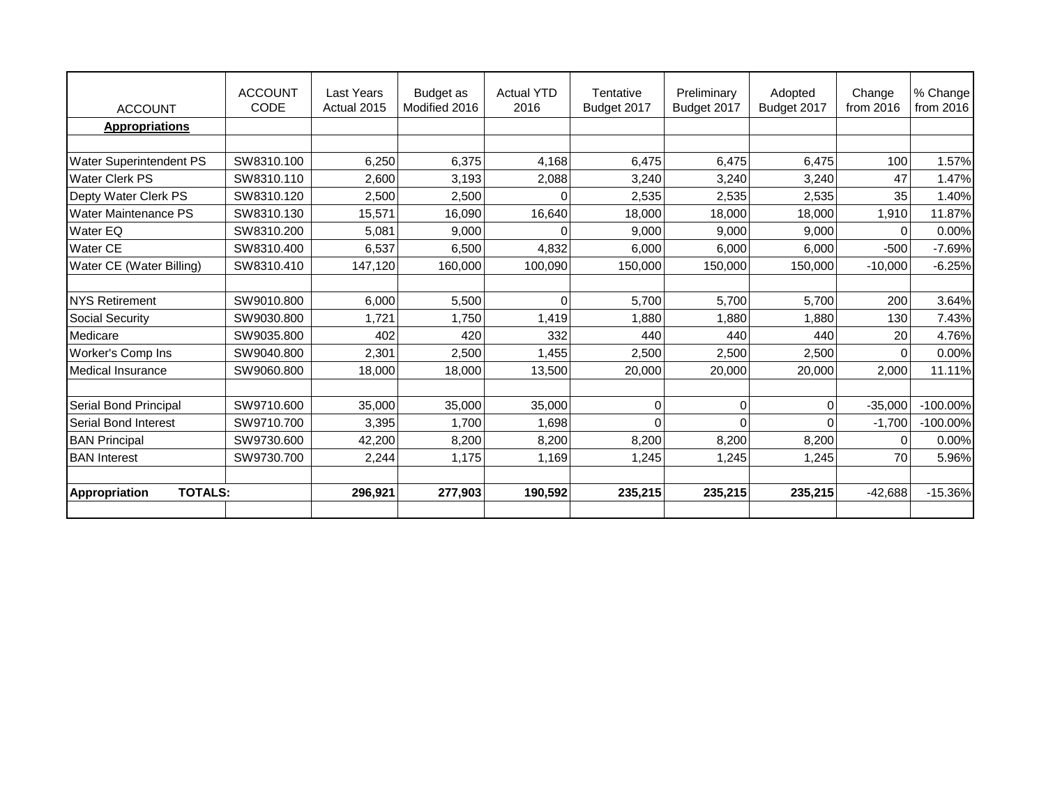| <b>ACCOUNT</b>                         | <b>ACCOUNT</b><br><b>CODE</b> | <b>Last Years</b><br>Actual 2015 | Budget as<br>Modified 2016 | <b>Actual YTD</b><br>2016 | Tentative<br>Budget 2017 | Preliminary<br>Budget 2017 | Adopted<br>Budget 2017 | Change<br>from 2016 | % Change<br>from 2016 |
|----------------------------------------|-------------------------------|----------------------------------|----------------------------|---------------------------|--------------------------|----------------------------|------------------------|---------------------|-----------------------|
| <b>Appropriations</b>                  |                               |                                  |                            |                           |                          |                            |                        |                     |                       |
|                                        |                               |                                  |                            |                           |                          |                            |                        |                     |                       |
| <b>Water Superintendent PS</b>         | SW8310.100                    | 6.250                            | 6,375                      | 4,168                     | 6.475                    | 6,475                      | 6.475                  | 100                 | 1.57%                 |
| <b>Water Clerk PS</b>                  | SW8310.110                    | 2,600                            | 3,193                      | 2,088                     | 3,240                    | 3,240                      | 3,240                  | 47                  | 1.47%                 |
| Depty Water Clerk PS                   | SW8310.120                    | 2,500                            | 2,500                      |                           | 2,535                    | 2,535                      | 2,535                  | 35                  | 1.40%                 |
| <b>Water Maintenance PS</b>            | SW8310.130                    | 15,571                           | 16,090                     | 16,640                    | 18,000                   | 18,000                     | 18,000                 | 1,910               | 11.87%                |
| <b>Water EQ</b>                        | SW8310.200                    | 5,081                            | 9,000                      |                           | 9,000                    | 9,000                      | 9,000                  | ∩                   | 0.00%                 |
| <b>Water CE</b>                        | SW8310.400                    | 6,537                            | 6,500                      | 4,832                     | 6,000                    | 6,000                      | 6,000                  | $-500$              | $-7.69%$              |
| Water CE (Water Billing)               | SW8310.410                    | 147,120                          | 160,000                    | 100,090                   | 150,000                  | 150,000                    | 150,000                | $-10,000$           | $-6.25%$              |
|                                        |                               |                                  |                            |                           |                          |                            |                        |                     |                       |
| <b>NYS Retirement</b>                  | SW9010.800                    | 6.000                            | 5,500                      | O                         | 5,700                    | 5,700                      | 5.700                  | 200                 | 3.64%                 |
| Social Security                        | SW9030.800                    | 1.721                            | 1,750                      | 1,419                     | 1,880                    | 1,880                      | 1,880                  | 130                 | 7.43%                 |
| Medicare                               | SW9035,800                    | 402                              | 420                        | 332                       | 440                      | 440                        | 440                    | 20                  | 4.76%                 |
| Worker's Comp Ins                      | SW9040.800                    | 2,301                            | 2,500                      | l,455                     | 2,500                    | 2,500                      | 2,500                  | $\Omega$            | 0.00%                 |
| <b>Medical Insurance</b>               | SW9060.800                    | 18,000                           | 18,000                     | 13,500                    | 20,000                   | 20,000                     | 20,000                 | 2,000               | 11.11%                |
|                                        |                               |                                  |                            |                           |                          |                            |                        |                     |                       |
| Serial Bond Principal                  | SW9710.600                    | 35,000                           | 35,000                     | 35,000                    | $\Omega$                 | $\mathbf{0}$               | 0                      | $-35,000$           | $-100.00\%$           |
| <b>Serial Bond Interest</b>            | SW9710.700                    | 3,395                            | 1,700                      | 1,698                     | $\Omega$                 | $\Omega$                   |                        | $-1,700$            | $-100.00\%$           |
| <b>BAN Principal</b>                   | SW9730.600                    | 42,200                           | 8,200                      | 8,200                     | 8,200                    | 8,200                      | 8,200                  | 0                   | 0.00%                 |
| <b>BAN</b> Interest                    | SW9730.700                    | 2,244                            | 1,175                      | 1,169                     | 1,245                    | 1,245                      | 1,245                  | 70                  | 5.96%                 |
|                                        |                               |                                  |                            |                           |                          |                            |                        |                     |                       |
| <b>TOTALS:</b><br><b>Appropriation</b> |                               | 296,921                          | 277,903                    | 190,592                   | 235,215                  | 235,215                    | 235,215                | $-42,688$           | $-15.36\%$            |
|                                        |                               |                                  |                            |                           |                          |                            |                        |                     |                       |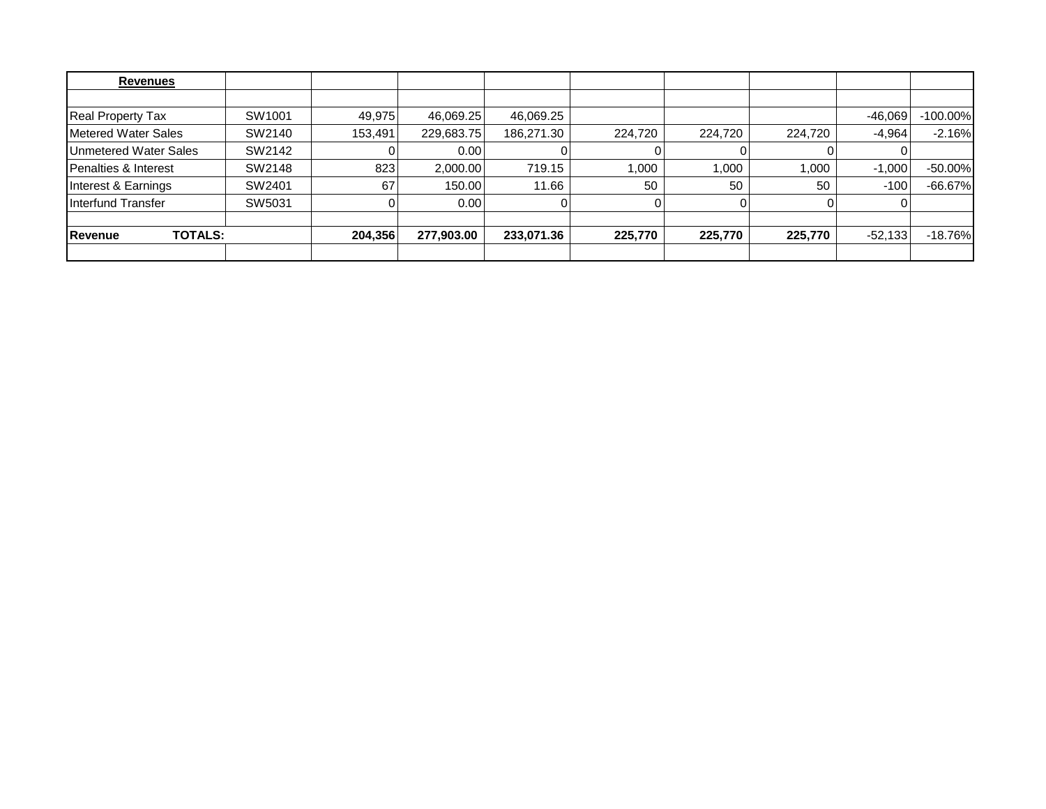| Revenues                        |        |         |            |            |         |         |         |           |             |
|---------------------------------|--------|---------|------------|------------|---------|---------|---------|-----------|-------------|
|                                 |        |         |            |            |         |         |         |           |             |
| <b>Real Property Tax</b>        | SW1001 | 49,975  | 46,069.25  | 46,069.25  |         |         |         | $-46,069$ | $-100.00\%$ |
| Metered Water Sales             | SW2140 | 153,491 | 229,683.75 | 186,271.30 | 224,720 | 224,720 | 224.720 | $-4.964$  | $-2.16%$    |
| Unmetered Water Sales           | SW2142 |         | 0.001      |            |         |         |         |           |             |
| <b>Penalties &amp; Interest</b> | SW2148 | 823     | 2,000.00   | 719.15     | 1,000   | 1,000   | 1,000   | $-1,000$  | $-50.00\%$  |
| Interest & Earnings             | SW2401 | 67      | 150.00     | 11.66      | 50      | 50      | 50      | $-100$    | $-66.67\%$  |
| Interfund Transfer              | SW5031 |         | 0.001      |            |         |         |         |           |             |
|                                 |        |         |            |            |         |         |         |           |             |
| <b>TOTALS:</b><br>Revenue       |        | 204,356 | 277,903.00 | 233,071.36 | 225,770 | 225,770 | 225,770 | $-52,133$ | $-18.76\%$  |
|                                 |        |         |            |            |         |         |         |           |             |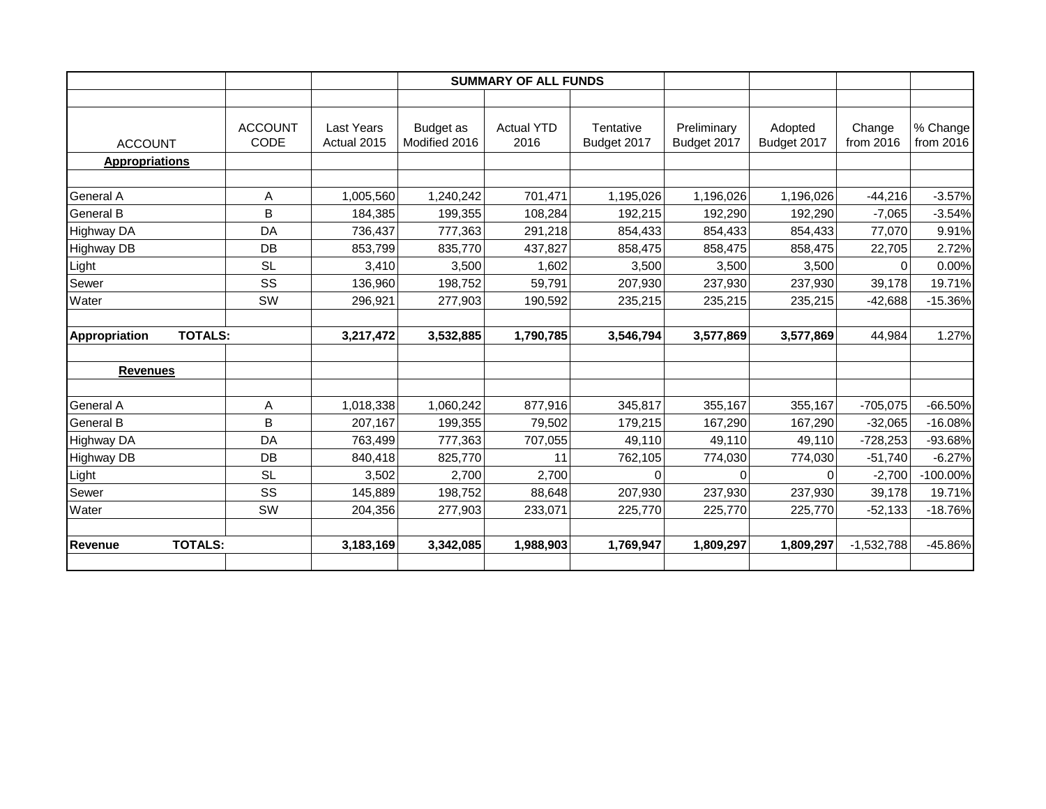|                                 |                        |                                  |                            | <b>SUMMARY OF ALL FUNDS</b> |                          |                            |                        |                     |                       |
|---------------------------------|------------------------|----------------------------------|----------------------------|-----------------------------|--------------------------|----------------------------|------------------------|---------------------|-----------------------|
|                                 |                        |                                  |                            |                             |                          |                            |                        |                     |                       |
| <b>ACCOUNT</b>                  | <b>ACCOUNT</b><br>CODE | <b>Last Years</b><br>Actual 2015 | Budget as<br>Modified 2016 | <b>Actual YTD</b><br>2016   | Tentative<br>Budget 2017 | Preliminary<br>Budget 2017 | Adopted<br>Budget 2017 | Change<br>from 2016 | % Change<br>from 2016 |
| <b>Appropriations</b>           |                        |                                  |                            |                             |                          |                            |                        |                     |                       |
| General A                       | A                      | 1,005,560                        | 1,240,242                  | 701,471                     | 1,195,026                | 1,196,026                  | 1,196,026              | $-44,216$           | $-3.57%$              |
| <b>General B</b>                | B                      | 184,385                          | 199,355                    | 108,284                     | 192,215                  | 192,290                    | 192,290                | $-7,065$            | $-3.54%$              |
| <b>Highway DA</b>               | DA                     | 736,437                          | 777,363                    | 291,218                     | 854,433                  | 854,433                    | 854,433                | 77,070              | 9.91%                 |
| <b>Highway DB</b>               | DB                     | 853,799                          | 835,770                    | 437,827                     | 858,475                  | 858,475                    | 858,475                | 22,705              | 2.72%                 |
| Light                           | <b>SL</b>              | 3,410                            | 3,500                      | 1,602                       | 3,500                    | 3,500                      | 3,500                  | $\Omega$            | 0.00%                 |
| Sewer                           | SS                     | 136,960                          | 198,752                    | 59,791                      | 207,930                  | 237,930                    | 237,930                | 39,178              | 19.71%                |
| Water                           | SW                     | 296,921                          | 277,903                    | 190,592                     | 235,215                  | 235,215                    | 235,215                | $-42,688$           | $-15.36%$             |
| <b>TOTALS:</b><br>Appropriation |                        | 3,217,472                        | 3,532,885                  | 1,790,785                   | 3,546,794                | 3,577,869                  | 3,577,869              | 44.984              | 1.27%                 |
| <b>Revenues</b>                 |                        |                                  |                            |                             |                          |                            |                        |                     |                       |
| General A                       | Α                      | 1,018,338                        | 1,060,242                  | 877,916                     | 345,817                  | 355,167                    | 355,167                | $-705,075$          | $-66.50%$             |
| <b>General B</b>                | B                      | 207,167                          | 199,355                    | 79,502                      | 179,215                  | 167,290                    | 167,290                | $-32,065$           | $-16.08%$             |
| <b>Highway DA</b>               | DA                     | 763,499                          | 777,363                    | 707,055                     | 49,110                   | 49,110                     | 49,110                 | $-728,253$          | -93.68%               |
| Highway DB                      | DB                     | 840,418                          | 825,770                    | 11                          | 762,105                  | 774,030                    | 774,030                | $-51,740$           | $-6.27%$              |
| Light                           | <b>SL</b>              | 3,502                            | 2,700                      | 2,700                       | $\Omega$                 | $\Omega$                   | $\Omega$               | $-2,700$            | $-100.00%$            |
| Sewer                           | SS                     | 145,889                          | 198,752                    | 88,648                      | 207,930                  | 237,930                    | 237,930                | 39,178              | 19.71%                |
|                                 | <b>SW</b>              | 204,356                          | 277,903                    | 233,071                     | 225,770                  | 225,770                    | 225,770                | $-52,133$           | $-18.76%$             |
| Water                           |                        |                                  |                            |                             |                          |                            |                        |                     |                       |